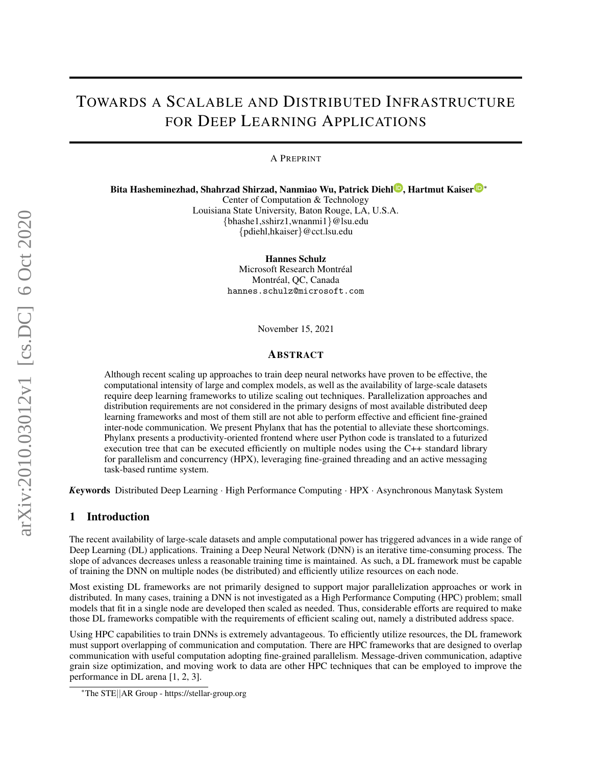# TOWARDS A SCALABLE AND DISTRIBUTED INFRASTRUCTURE FOR DEEP LEARNING APPLICATIONS

A PREPRINT

Bita Hasheminezhad[,](https://orcid.org/0000-0003-3922-8419) Shah[r](https://orcid.org/0000-0002-8712-2806)zad Shirzad, Nanmiao Wu, Patrick Diehl<sup>o</sup>, Hartmut Kaiser<sup>o</sup>\*

Center of Computation & Technology

Louisiana State University, Baton Rouge, LA, U.S.A. {bhashe1,sshirz1,wnanmi1}@lsu.edu {pdiehl,hkaiser}@cct.lsu.edu

Hannes Schulz

Microsoft Research Montréal Montréal, QC, Canada hannes.schulz@microsoft.com

November 15, 2021

#### ABSTRACT

Although recent scaling up approaches to train deep neural networks have proven to be effective, the computational intensity of large and complex models, as well as the availability of large-scale datasets require deep learning frameworks to utilize scaling out techniques. Parallelization approaches and distribution requirements are not considered in the primary designs of most available distributed deep learning frameworks and most of them still are not able to perform effective and efficient fine-grained inter-node communication. We present Phylanx that has the potential to alleviate these shortcomings. Phylanx presents a productivity-oriented frontend where user Python code is translated to a futurized execution tree that can be executed efficiently on multiple nodes using the C++ standard library for parallelism and concurrency (HPX), leveraging fine-grained threading and an active messaging task-based runtime system.

*K*eywords Distributed Deep Learning · High Performance Computing · HPX · Asynchronous Manytask System

### 1 Introduction

The recent availability of large-scale datasets and ample computational power has triggered advances in a wide range of Deep Learning (DL) applications. Training a Deep Neural Network (DNN) is an iterative time-consuming process. The slope of advances decreases unless a reasonable training time is maintained. As such, a DL framework must be capable of training the DNN on multiple nodes (be distributed) and efficiently utilize resources on each node.

Most existing DL frameworks are not primarily designed to support major parallelization approaches or work in distributed. In many cases, training a DNN is not investigated as a High Performance Computing (HPC) problem; small models that fit in a single node are developed then scaled as needed. Thus, considerable efforts are required to make those DL frameworks compatible with the requirements of efficient scaling out, namely a distributed address space.

Using HPC capabilities to train DNNs is extremely advantageous. To efficiently utilize resources, the DL framework must support overlapping of communication and computation. There are HPC frameworks that are designed to overlap communication with useful computation adopting fine-grained parallelism. Message-driven communication, adaptive grain size optimization, and moving work to data are other HPC techniques that can be employed to improve the performance in DL arena [\[1,](#page-10-0) [2,](#page-10-1) [3\]](#page-10-2).

<sup>∗</sup>The STE||AR Group - https://stellar-group.org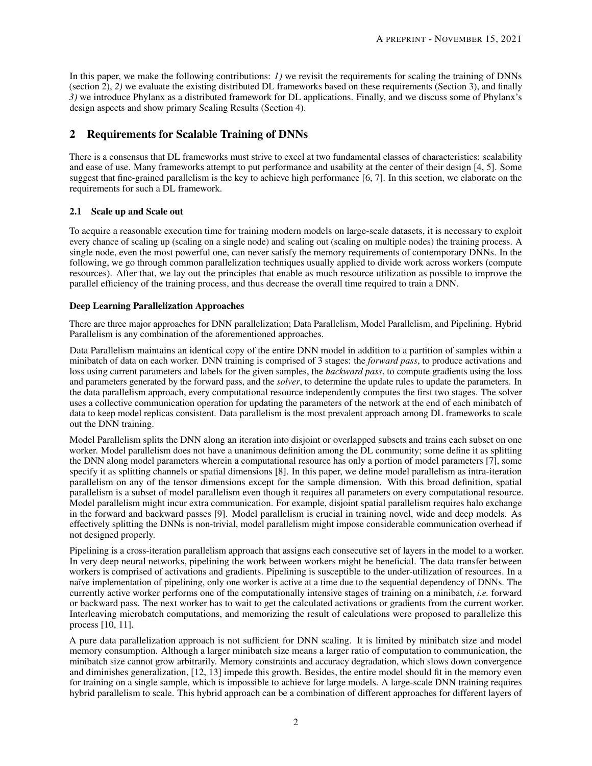In this paper, we make the following contributions: *1)* we revisit the requirements for scaling the training of DNNs (section [2\)](#page-1-0), *2)* we evaluate the existing distributed DL frameworks based on these requirements (Section [3\)](#page-3-0), and finally *3)* we introduce Phylanx as a distributed framework for DL applications. Finally, and we discuss some of Phylanx's design aspects and show primary Scaling Results (Section [4\)](#page-7-0).

# <span id="page-1-0"></span>2 Requirements for Scalable Training of DNNs

There is a consensus that DL frameworks must strive to excel at two fundamental classes of characteristics: scalability and ease of use. Many frameworks attempt to put performance and usability at the center of their design [\[4,](#page-10-3) [5\]](#page-10-4). Some suggest that fine-grained parallelism is the key to achieve high performance [\[6,](#page-10-5) [7\]](#page-10-6). In this section, we elaborate on the requirements for such a DL framework.

#### 2.1 Scale up and Scale out

To acquire a reasonable execution time for training modern models on large-scale datasets, it is necessary to exploit every chance of scaling up (scaling on a single node) and scaling out (scaling on multiple nodes) the training process. A single node, even the most powerful one, can never satisfy the memory requirements of contemporary DNNs. In the following, we go through common parallelization techniques usually applied to divide work across workers (compute resources). After that, we lay out the principles that enable as much resource utilization as possible to improve the parallel efficiency of the training process, and thus decrease the overall time required to train a DNN.

#### Deep Learning Parallelization Approaches

There are three major approaches for DNN parallelization; Data Parallelism, Model Parallelism, and Pipelining. Hybrid Parallelism is any combination of the aforementioned approaches.

Data Parallelism maintains an identical copy of the entire DNN model in addition to a partition of samples within a minibatch of data on each worker. DNN training is comprised of 3 stages: the *forward pass*, to produce activations and loss using current parameters and labels for the given samples, the *backward pass*, to compute gradients using the loss and parameters generated by the forward pass, and the *solver*, to determine the update rules to update the parameters. In the data parallelism approach, every computational resource independently computes the first two stages. The solver uses a collective communication operation for updating the parameters of the network at the end of each minibatch of data to keep model replicas consistent. Data parallelism is the most prevalent approach among DL frameworks to scale out the DNN training.

Model Parallelism splits the DNN along an iteration into disjoint or overlapped subsets and trains each subset on one worker. Model parallelism does not have a unanimous definition among the DL community; some define it as splitting the DNN along model parameters wherein a computational resource has only a portion of model parameters [\[7\]](#page-10-6), some specify it as splitting channels or spatial dimensions [\[8\]](#page-10-7). In this paper, we define model parallelism as intra-iteration parallelism on any of the tensor dimensions except for the sample dimension. With this broad definition, spatial parallelism is a subset of model parallelism even though it requires all parameters on every computational resource. Model parallelism might incur extra communication. For example, disjoint spatial parallelism requires halo exchange in the forward and backward passes [\[9\]](#page-10-8). Model parallelism is crucial in training novel, wide and deep models. As effectively splitting the DNNs is non-trivial, model parallelism might impose considerable communication overhead if not designed properly.

Pipelining is a cross-iteration parallelism approach that assigns each consecutive set of layers in the model to a worker. In very deep neural networks, pipelining the work between workers might be beneficial. The data transfer between workers is comprised of activations and gradients. Pipelining is susceptible to the under-utilization of resources. In a naïve implementation of pipelining, only one worker is active at a time due to the sequential dependency of DNNs. The currently active worker performs one of the computationally intensive stages of training on a minibatch, *i.e.* forward or backward pass. The next worker has to wait to get the calculated activations or gradients from the current worker. Interleaving microbatch computations, and memorizing the result of calculations were proposed to parallelize this process [\[10,](#page-10-9) [11\]](#page-10-10).

A pure data parallelization approach is not sufficient for DNN scaling. It is limited by minibatch size and model memory consumption. Although a larger minibatch size means a larger ratio of computation to communication, the minibatch size cannot grow arbitrarily. Memory constraints and accuracy degradation, which slows down convergence and diminishes generalization, [\[12,](#page-10-11) [13\]](#page-10-12) impede this growth. Besides, the entire model should fit in the memory even for training on a single sample, which is impossible to achieve for large models. A large-scale DNN training requires hybrid parallelism to scale. This hybrid approach can be a combination of different approaches for different layers of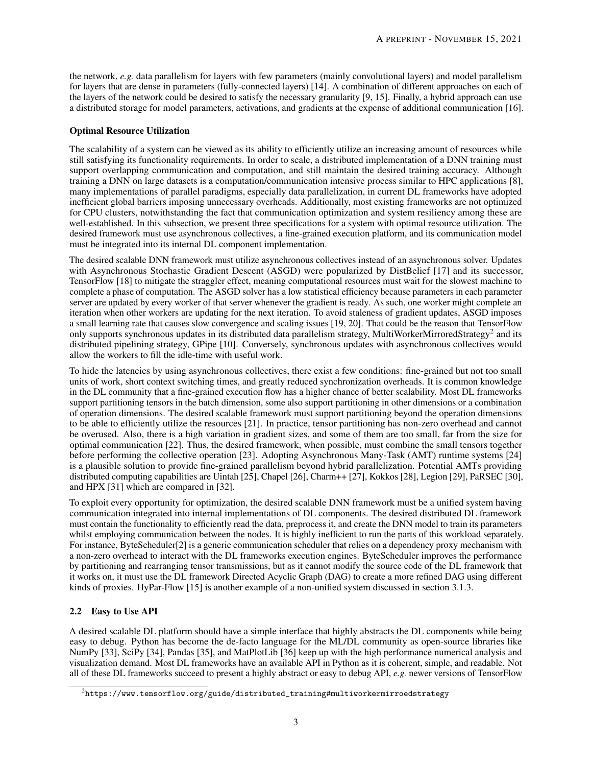the network, *e.g.* data parallelism for layers with few parameters (mainly convolutional layers) and model parallelism for layers that are dense in parameters (fully-connected layers) [\[14\]](#page-10-13). A combination of different approaches on each of the layers of the network could be desired to satisfy the necessary granularity [\[9,](#page-10-8) [15\]](#page-10-14). Finally, a hybrid approach can use a distributed storage for model parameters, activations, and gradients at the expense of additional communication [\[16\]](#page-10-15).

#### Optimal Resource Utilization

The scalability of a system can be viewed as its ability to efficiently utilize an increasing amount of resources while still satisfying its functionality requirements. In order to scale, a distributed implementation of a DNN training must support overlapping communication and computation, and still maintain the desired training accuracy. Although training a DNN on large datasets is a computation/communication intensive process similar to HPC applications [\[8\]](#page-10-7), many implementations of parallel paradigms, especially data parallelization, in current DL frameworks have adopted inefficient global barriers imposing unnecessary overheads. Additionally, most existing frameworks are not optimized for CPU clusters, notwithstanding the fact that communication optimization and system resiliency among these are well-established. In this subsection, we present three specifications for a system with optimal resource utilization. The desired framework must use asynchronous collectives, a fine-grained execution platform, and its communication model must be integrated into its internal DL component implementation.

The desired scalable DNN framework must utilize asynchronous collectives instead of an asynchronous solver. Updates with Asynchronous Stochastic Gradient Descent (ASGD) were popularized by DistBelief [\[17\]](#page-11-0) and its successor, TensorFlow [\[18\]](#page-11-1) to mitigate the straggler effect, meaning computational resources must wait for the slowest machine to complete a phase of computation. The ASGD solver has a low statistical efficiency because parameters in each parameter server are updated by every worker of that server whenever the gradient is ready. As such, one worker might complete an iteration when other workers are updating for the next iteration. To avoid staleness of gradient updates, ASGD imposes a small learning rate that causes slow convergence and scaling issues [\[19,](#page-11-2) [20\]](#page-11-3). That could be the reason that TensorFlow only supports synchronous updates in its distributed data parallelism strategy, MultiWorkerMirroredStrategy<sup>[2](#page-2-0)</sup> and its distributed pipelining strategy, GPipe [\[10\]](#page-10-9). Conversely, synchronous updates with asynchronous collectives would allow the workers to fill the idle-time with useful work.

To hide the latencies by using asynchronous collectives, there exist a few conditions: fine-grained but not too small units of work, short context switching times, and greatly reduced synchronization overheads. It is common knowledge in the DL community that a fine-grained execution flow has a higher chance of better scalability. Most DL frameworks support partitioning tensors in the batch dimension, some also support partitioning in other dimensions or a combination of operation dimensions. The desired scalable framework must support partitioning beyond the operation dimensions to be able to efficiently utilize the resources [\[21\]](#page-11-4). In practice, tensor partitioning has non-zero overhead and cannot be overused. Also, there is a high variation in gradient sizes, and some of them are too small, far from the size for optimal communication [\[22\]](#page-11-5). Thus, the desired framework, when possible, must combine the small tensors together before performing the collective operation [\[23\]](#page-11-6). Adopting Asynchronous Many-Task (AMT) runtime systems [\[24\]](#page-11-7) is a plausible solution to provide fine-grained parallelism beyond hybrid parallelization. Potential AMTs providing distributed computing capabilities are Uintah [\[25\]](#page-11-8), Chapel [\[26\]](#page-11-9), Charm++ [\[27\]](#page-11-10), Kokkos [\[28\]](#page-11-11), Legion [\[29\]](#page-11-12), PaRSEC [\[30\]](#page-11-13), and HPX [\[31\]](#page-11-14) which are compared in [\[32\]](#page-11-15).

To exploit every opportunity for optimization, the desired scalable DNN framework must be a unified system having communication integrated into internal implementations of DL components. The desired distributed DL framework must contain the functionality to efficiently read the data, preprocess it, and create the DNN model to train its parameters whilst employing communication between the nodes. It is highly inefficient to run the parts of this workload separately. For instance, ByteScheduler<sup>[\[2\]](#page-10-1)</sup> is a generic communication scheduler that relies on a dependency proxy mechanism with a non-zero overhead to interact with the DL frameworks execution engines. ByteScheduler improves the performance by partitioning and rearranging tensor transmissions, but as it cannot modify the source code of the DL framework that it works on, it must use the DL framework Directed Acyclic Graph (DAG) to create a more refined DAG using different kinds of proxies. HyPar-Flow [\[15\]](#page-10-14) is another example of a non-unified system discussed in section [3.1.3.](#page-4-0)

## 2.2 Easy to Use API

A desired scalable DL platform should have a simple interface that highly abstracts the DL components while being easy to debug. Python has become the de-facto language for the ML/DL community as open-source libraries like NumPy [\[33\]](#page-11-16), SciPy [\[34\]](#page-11-17), Pandas [\[35\]](#page-11-18), and MatPlotLib [\[36\]](#page-11-19) keep up with the high performance numerical analysis and visualization demand. Most DL frameworks have an available API in Python as it is coherent, simple, and readable. Not all of these DL frameworks succeed to present a highly abstract or easy to debug API, *e.g.* newer versions of TensorFlow

<span id="page-2-0"></span> $^2$ [https://www.tensorflow.org/guide/distributed\\_training#multiworkermirroedstrategy](https://www.tensorflow.org/guide/distributed_training#multiworkermirroedstrategy)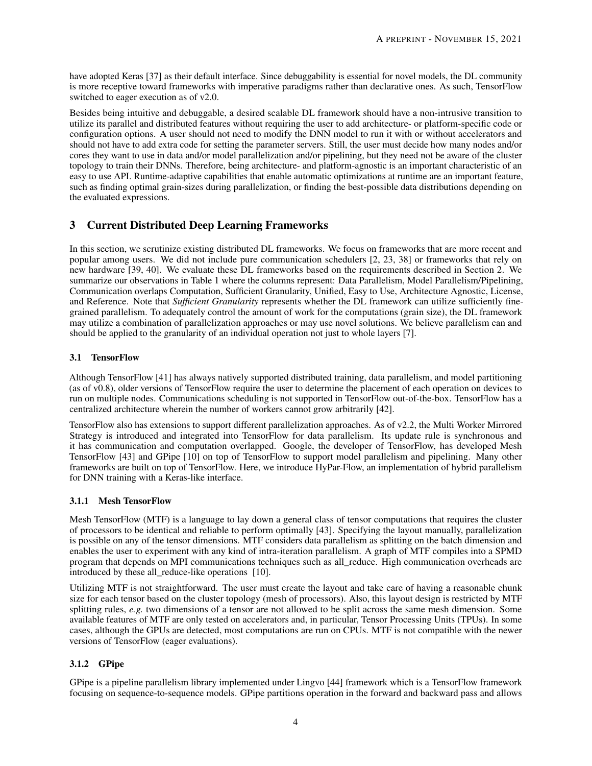have adopted Keras [\[37\]](#page-12-0) as their default interface. Since debuggability is essential for novel models, the DL community is more receptive toward frameworks with imperative paradigms rather than declarative ones. As such, TensorFlow switched to eager execution as of v2.0.

Besides being intuitive and debuggable, a desired scalable DL framework should have a non-intrusive transition to utilize its parallel and distributed features without requiring the user to add architecture- or platform-specific code or configuration options. A user should not need to modify the DNN model to run it with or without accelerators and should not have to add extra code for setting the parameter servers. Still, the user must decide how many nodes and/or cores they want to use in data and/or model parallelization and/or pipelining, but they need not be aware of the cluster topology to train their DNNs. Therefore, being architecture- and platform-agnostic is an important characteristic of an easy to use API. Runtime-adaptive capabilities that enable automatic optimizations at runtime are an important feature, such as finding optimal grain-sizes during parallelization, or finding the best-possible data distributions depending on the evaluated expressions.

# <span id="page-3-0"></span>3 Current Distributed Deep Learning Frameworks

In this section, we scrutinize existing distributed DL frameworks. We focus on frameworks that are more recent and popular among users. We did not include pure communication schedulers [\[2,](#page-10-1) [23,](#page-11-6) [38\]](#page-12-1) or frameworks that rely on new hardware [\[39,](#page-12-2) [40\]](#page-12-3). We evaluate these DL frameworks based on the requirements described in Section [2.](#page-1-0) We summarize our observations in Table [1](#page-7-1) where the columns represent: Data Parallelism, Model Parallelism/Pipelining, Communication overlaps Computation, Sufficient Granularity, Unified, Easy to Use, Architecture Agnostic, License, and Reference. Note that *Sufficient Granularity* represents whether the DL framework can utilize sufficiently finegrained parallelism. To adequately control the amount of work for the computations (grain size), the DL framework may utilize a combination of parallelization approaches or may use novel solutions. We believe parallelism can and should be applied to the granularity of an individual operation not just to whole layers [\[7\]](#page-10-6).

## 3.1 TensorFlow

Although TensorFlow [\[41\]](#page-12-4) has always natively supported distributed training, data parallelism, and model partitioning (as of v0.8), older versions of TensorFlow require the user to determine the placement of each operation on devices to run on multiple nodes. Communications scheduling is not supported in TensorFlow out-of-the-box. TensorFlow has a centralized architecture wherein the number of workers cannot grow arbitrarily [\[42\]](#page-12-5).

TensorFlow also has extensions to support different parallelization approaches. As of v2.2, the Multi Worker Mirrored Strategy is introduced and integrated into TensorFlow for data parallelism. Its update rule is synchronous and it has communication and computation overlapped. Google, the developer of TensorFlow, has developed Mesh TensorFlow [\[43\]](#page-12-6) and GPipe [\[10\]](#page-10-9) on top of TensorFlow to support model parallelism and pipelining. Many other frameworks are built on top of TensorFlow. Here, we introduce HyPar-Flow, an implementation of hybrid parallelism for DNN training with a Keras-like interface.

## 3.1.1 Mesh TensorFlow

Mesh TensorFlow (MTF) is a language to lay down a general class of tensor computations that requires the cluster of processors to be identical and reliable to perform optimally [\[43\]](#page-12-6). Specifying the layout manually, parallelization is possible on any of the tensor dimensions. MTF considers data parallelism as splitting on the batch dimension and enables the user to experiment with any kind of intra-iteration parallelism. A graph of MTF compiles into a SPMD program that depends on MPI communications techniques such as all\_reduce. High communication overheads are introduced by these all reduce-like operations [\[10\]](#page-10-9).

Utilizing MTF is not straightforward. The user must create the layout and take care of having a reasonable chunk size for each tensor based on the cluster topology (mesh of processors). Also, this layout design is restricted by MTF splitting rules, *e.g.* two dimensions of a tensor are not allowed to be split across the same mesh dimension. Some available features of MTF are only tested on accelerators and, in particular, Tensor Processing Units (TPUs). In some cases, although the GPUs are detected, most computations are run on CPUs. MTF is not compatible with the newer versions of TensorFlow (eager evaluations).

## 3.1.2 GPipe

GPipe is a pipeline parallelism library implemented under Lingvo [\[44\]](#page-12-7) framework which is a TensorFlow framework focusing on sequence-to-sequence models. GPipe partitions operation in the forward and backward pass and allows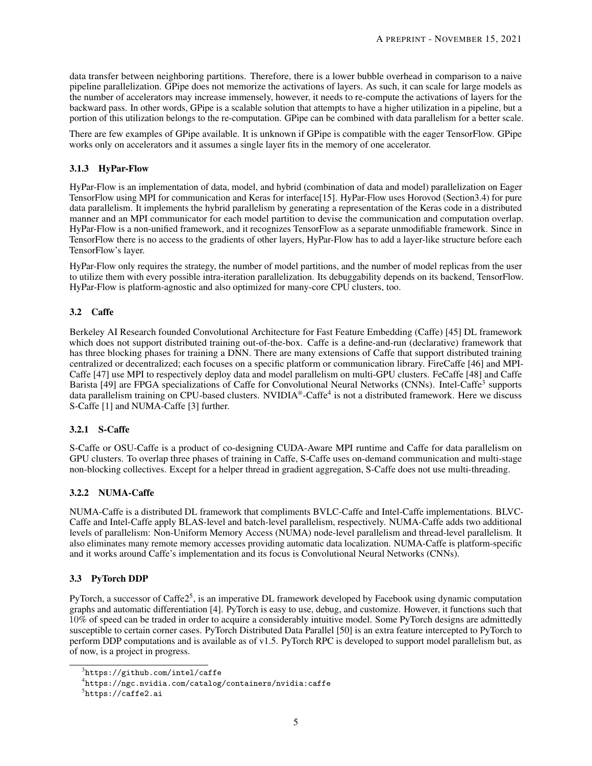data transfer between neighboring partitions. Therefore, there is a lower bubble overhead in comparison to a naive pipeline parallelization. GPipe does not memorize the activations of layers. As such, it can scale for large models as the number of accelerators may increase immensely, however, it needs to re-compute the activations of layers for the backward pass. In other words, GPipe is a scalable solution that attempts to have a higher utilization in a pipeline, but a portion of this utilization belongs to the re-computation. GPipe can be combined with data parallelism for a better scale.

There are few examples of GPipe available. It is unknown if GPipe is compatible with the eager TensorFlow. GPipe works only on accelerators and it assumes a single layer fits in the memory of one accelerator.

## <span id="page-4-0"></span>3.1.3 HyPar-Flow

HyPar-Flow is an implementation of data, model, and hybrid (combination of data and model) parallelization on Eager TensorFlow using MPI for communication and Keras for interface[\[15\]](#page-10-14). HyPar-Flow uses Horovod (Sectio[n3.4\)](#page-5-0) for pure data parallelism. It implements the hybrid parallelism by generating a representation of the Keras code in a distributed manner and an MPI communicator for each model partition to devise the communication and computation overlap. HyPar-Flow is a non-unified framework, and it recognizes TensorFlow as a separate unmodifiable framework. Since in TensorFlow there is no access to the gradients of other layers, HyPar-Flow has to add a layer-like structure before each TensorFlow's layer.

HyPar-Flow only requires the strategy, the number of model partitions, and the number of model replicas from the user to utilize them with every possible intra-iteration parallelization. Its debuggability depends on its backend, TensorFlow. HyPar-Flow is platform-agnostic and also optimized for many-core CPU clusters, too.

## 3.2 Caffe

Berkeley AI Research founded Convolutional Architecture for Fast Feature Embedding (Caffe) [\[45\]](#page-12-8) DL framework which does not support distributed training out-of-the-box. Caffe is a define-and-run (declarative) framework that has three blocking phases for training a DNN. There are many extensions of Caffe that support distributed training centralized or decentralized; each focuses on a specific platform or communication library. FireCaffe [\[46\]](#page-12-9) and MPI-Caffe [\[47\]](#page-12-10) use MPI to respectively deploy data and model parallelism on multi-GPU clusters. FeCaffe [\[48\]](#page-12-11) and Caffe Barista [\[49\]](#page-12-12) are FPGA specializations of Caffe for Convolutional Neural Networks (CNNs). Intel-Caffe<sup>[3](#page-4-1)</sup> supports data parallelism training on CPU-based clusters. NVIDIA®-Caffe<sup>[4](#page-4-2)</sup> is not a distributed framework. Here we discuss S-Caffe [\[1\]](#page-10-0) and NUMA-Caffe [\[3\]](#page-10-2) further.

## 3.2.1 S-Caffe

S-Caffe or OSU-Caffe is a product of co-designing CUDA-Aware MPI runtime and Caffe for data parallelism on GPU clusters. To overlap three phases of training in Caffe, S-Caffe uses on-demand communication and multi-stage non-blocking collectives. Except for a helper thread in gradient aggregation, S-Caffe does not use multi-threading.

## 3.2.2 NUMA-Caffe

NUMA-Caffe is a distributed DL framework that compliments BVLC-Caffe and Intel-Caffe implementations. BLVC-Caffe and Intel-Caffe apply BLAS-level and batch-level parallelism, respectively. NUMA-Caffe adds two additional levels of parallelism: Non-Uniform Memory Access (NUMA) node-level parallelism and thread-level parallelism. It also eliminates many remote memory accesses providing automatic data localization. NUMA-Caffe is platform-specific and it works around Caffe's implementation and its focus is Convolutional Neural Networks (CNNs).

## <span id="page-4-4"></span>3.3 PyTorch DDP

PyTorch, a successor of Caffe2<sup>[5](#page-4-3)</sup>, is an imperative DL framework developed by Facebook using dynamic computation graphs and automatic differentiation [\[4\]](#page-10-3). PyTorch is easy to use, debug, and customize. However, it functions such that 10% of speed can be traded in order to acquire a considerably intuitive model. Some PyTorch designs are admittedly susceptible to certain corner cases. PyTorch Distributed Data Parallel [\[50\]](#page-12-13) is an extra feature intercepted to PyTorch to perform DDP computations and is available as of v1.5. PyTorch RPC is developed to support model parallelism but, as of now, is a project in progress.

<span id="page-4-1"></span> $^3$ <https://github.com/intel/caffe>

<span id="page-4-2"></span><sup>4</sup> <https://ngc.nvidia.com/catalog/containers/nvidia:caffe>

<span id="page-4-3"></span> ${}^5$ https://caffe $2.\mathtt{ai}$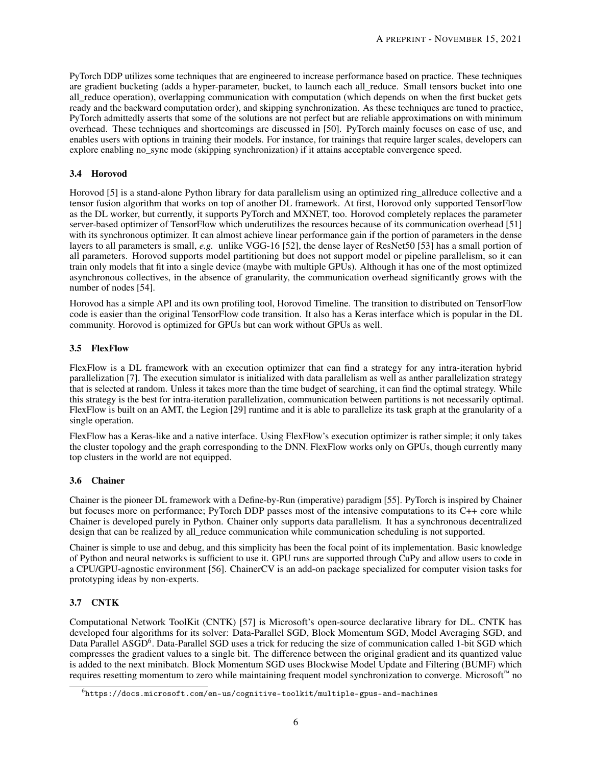PyTorch DDP utilizes some techniques that are engineered to increase performance based on practice. These techniques are gradient bucketing (adds a hyper-parameter, bucket, to launch each all\_reduce. Small tensors bucket into one all reduce operation), overlapping communication with computation (which depends on when the first bucket gets ready and the backward computation order), and skipping synchronization. As these techniques are tuned to practice, PyTorch admittedly asserts that some of the solutions are not perfect but are reliable approximations on with minimum overhead. These techniques and shortcomings are discussed in [\[50\]](#page-12-13). PyTorch mainly focuses on ease of use, and enables users with options in training their models. For instance, for trainings that require larger scales, developers can explore enabling no sync mode (skipping synchronization) if it attains acceptable convergence speed.

#### <span id="page-5-0"></span>3.4 Horovod

Horovod [\[5\]](#page-10-4) is a stand-alone Python library for data parallelism using an optimized ring\_allreduce collective and a tensor fusion algorithm that works on top of another DL framework. At first, Horovod only supported TensorFlow as the DL worker, but currently, it supports PyTorch and MXNET, too. Horovod completely replaces the parameter server-based optimizer of TensorFlow which underutilizes the resources because of its communication overhead [\[51\]](#page-12-14) with its synchronous optimizer. It can almost achieve linear performance gain if the portion of parameters in the dense layers to all parameters is small, *e.g.* unlike VGG-16 [\[52\]](#page-12-15), the dense layer of ResNet50 [\[53\]](#page-12-16) has a small portion of all parameters. Horovod supports model partitioning but does not support model or pipeline parallelism, so it can train only models that fit into a single device (maybe with multiple GPUs). Although it has one of the most optimized asynchronous collectives, in the absence of granularity, the communication overhead significantly grows with the number of nodes [\[54\]](#page-12-17).

Horovod has a simple API and its own profiling tool, Horovod Timeline. The transition to distributed on TensorFlow code is easier than the original TensorFlow code transition. It also has a Keras interface which is popular in the DL community. Horovod is optimized for GPUs but can work without GPUs as well.

## 3.5 FlexFlow

FlexFlow is a DL framework with an execution optimizer that can find a strategy for any intra-iteration hybrid parallelization [\[7\]](#page-10-6). The execution simulator is initialized with data parallelism as well as anther parallelization strategy that is selected at random. Unless it takes more than the time budget of searching, it can find the optimal strategy. While this strategy is the best for intra-iteration parallelization, communication between partitions is not necessarily optimal. FlexFlow is built on an AMT, the Legion [\[29\]](#page-11-12) runtime and it is able to parallelize its task graph at the granularity of a single operation.

FlexFlow has a Keras-like and a native interface. Using FlexFlow's execution optimizer is rather simple; it only takes the cluster topology and the graph corresponding to the DNN. FlexFlow works only on GPUs, though currently many top clusters in the world are not equipped.

#### 3.6 Chainer

Chainer is the pioneer DL framework with a Define-by-Run (imperative) paradigm [\[55\]](#page-12-18). PyTorch is inspired by Chainer but focuses more on performance; PyTorch DDP passes most of the intensive computations to its C++ core while Chainer is developed purely in Python. Chainer only supports data parallelism. It has a synchronous decentralized design that can be realized by all\_reduce communication while communication scheduling is not supported.

Chainer is simple to use and debug, and this simplicity has been the focal point of its implementation. Basic knowledge of Python and neural networks is sufficient to use it. GPU runs are supported through CuPy and allow users to code in a CPU/GPU-agnostic environment [\[56\]](#page-12-19). ChainerCV is an add-on package specialized for computer vision tasks for prototyping ideas by non-experts.

## 3.7 CNTK

Computational Network ToolKit (CNTK) [\[57\]](#page-13-0) is Microsoft's open-source declarative library for DL. CNTK has developed four algorithms for its solver: Data-Parallel SGD, Block Momentum SGD, Model Averaging SGD, and Data Parallel ASGD<sup>[6](#page-5-1)</sup>. Data-Parallel SGD uses a trick for reducing the size of communication called 1-bit SGD which compresses the gradient values to a single bit. The difference between the original gradient and its quantized value is added to the next minibatch. Block Momentum SGD uses Blockwise Model Update and Filtering (BUMF) which requires resetting momentum to zero while maintaining frequent model synchronization to converge. Microsoft™ no

<span id="page-5-1"></span> $^6$ <https://docs.microsoft.com/en-us/cognitive-toolkit/multiple-gpus-and-machines>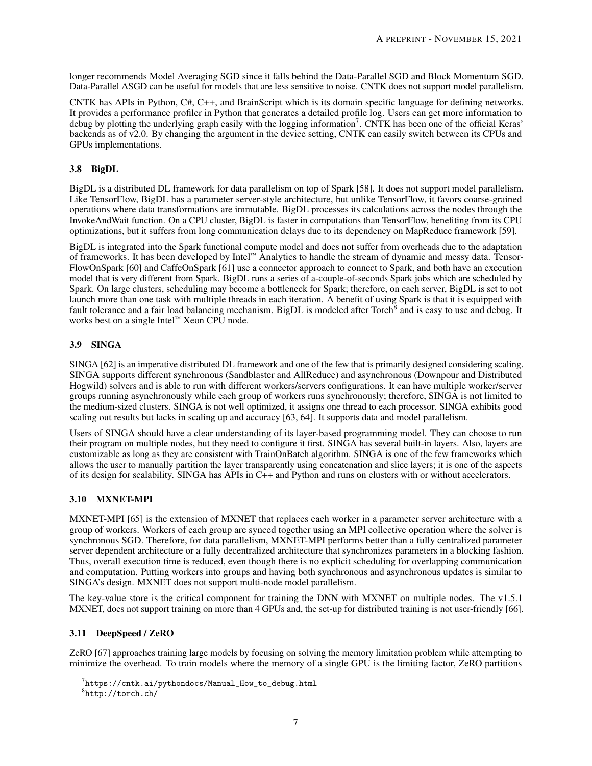longer recommends Model Averaging SGD since it falls behind the Data-Parallel SGD and Block Momentum SGD. Data-Parallel ASGD can be useful for models that are less sensitive to noise. CNTK does not support model parallelism.

CNTK has APIs in Python, C#, C++, and BrainScript which is its domain specific language for defining networks. It provides a performance profiler in Python that generates a detailed profile log. Users can get more information to debug by plotting the underlying graph easily with the logging information<sup>[7](#page-6-0)</sup>. CNTK has been one of the official Keras' backends as of v2.0. By changing the argument in the device setting, CNTK can easily switch between its CPUs and GPUs implementations.

## 3.8 BigDL

BigDL is a distributed DL framework for data parallelism on top of Spark [\[58\]](#page-13-1). It does not support model parallelism. Like TensorFlow, BigDL has a parameter server-style architecture, but unlike TensorFlow, it favors coarse-grained operations where data transformations are immutable. BigDL processes its calculations across the nodes through the InvokeAndWait function. On a CPU cluster, BigDL is faster in computations than TensorFlow, benefiting from its CPU optimizations, but it suffers from long communication delays due to its dependency on MapReduce framework [\[59\]](#page-13-2).

BigDL is integrated into the Spark functional compute model and does not suffer from overheads due to the adaptation of frameworks. It has been developed by Intel™ Analytics to handle the stream of dynamic and messy data. Tensor-FlowOnSpark [\[60\]](#page-13-3) and CaffeOnSpark [\[61\]](#page-13-4) use a connector approach to connect to Spark, and both have an execution model that is very different from Spark. BigDL runs a series of a-couple-of-seconds Spark jobs which are scheduled by Spark. On large clusters, scheduling may become a bottleneck for Spark; therefore, on each server, BigDL is set to not launch more than one task with multiple threads in each iteration. A benefit of using Spark is that it is equipped with fault tolerance and a fair load balancing mechanism. BigDL is modeled after Torch<sup>[8](#page-6-1)</sup> and is easy to use and debug. It works best on a single Intel™ Xeon CPU node.

## 3.9 SINGA

SINGA [\[62\]](#page-13-5) is an imperative distributed DL framework and one of the few that is primarily designed considering scaling. SINGA supports different synchronous (Sandblaster and AllReduce) and asynchronous (Downpour and Distributed Hogwild) solvers and is able to run with different workers/servers configurations. It can have multiple worker/server groups running asynchronously while each group of workers runs synchronously; therefore, SINGA is not limited to the medium-sized clusters. SINGA is not well optimized, it assigns one thread to each processor. SINGA exhibits good scaling out results but lacks in scaling up and accuracy [\[63,](#page-13-6) [64\]](#page-13-7). It supports data and model parallelism.

Users of SINGA should have a clear understanding of its layer-based programming model. They can choose to run their program on multiple nodes, but they need to configure it first. SINGA has several built-in layers. Also, layers are customizable as long as they are consistent with TrainOnBatch algorithm. SINGA is one of the few frameworks which allows the user to manually partition the layer transparently using concatenation and slice layers; it is one of the aspects of its design for scalability. SINGA has APIs in C++ and Python and runs on clusters with or without accelerators.

## 3.10 MXNET-MPI

MXNET-MPI [\[65\]](#page-13-8) is the extension of MXNET that replaces each worker in a parameter server architecture with a group of workers. Workers of each group are synced together using an MPI collective operation where the solver is synchronous SGD. Therefore, for data parallelism, MXNET-MPI performs better than a fully centralized parameter server dependent architecture or a fully decentralized architecture that synchronizes parameters in a blocking fashion. Thus, overall execution time is reduced, even though there is no explicit scheduling for overlapping communication and computation. Putting workers into groups and having both synchronous and asynchronous updates is similar to SINGA's design. MXNET does not support multi-node model parallelism.

The key-value store is the critical component for training the DNN with MXNET on multiple nodes. The v1.5.1 MXNET, does not support training on more than 4 GPUs and, the set-up for distributed training is not user-friendly [\[66\]](#page-13-9).

## 3.11 DeepSpeed / ZeRO

ZeRO [\[67\]](#page-13-10) approaches training large models by focusing on solving the memory limitation problem while attempting to minimize the overhead. To train models where the memory of a single GPU is the limiting factor, ZeRO partitions

<span id="page-6-0"></span> $^{7}$ https:// $\verb|cntk.ai/pythondoes/Manual_How_to_debug.html$ 

<span id="page-6-1"></span><sup>8</sup> <http://torch.ch/>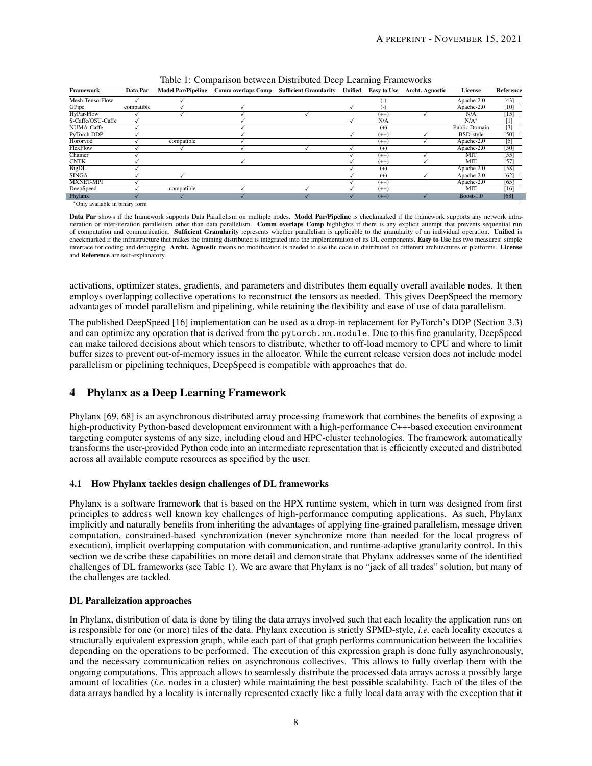| Framework         | Data Par   | <b>Model Par/Pipeline</b> | <b>Comm overlaps Comp</b> | <b>Sufficient Granularity</b> | Unified | <b>Easy to Use</b> | <b>Archt. Agnostic</b> | License          | Reference        |
|-------------------|------------|---------------------------|---------------------------|-------------------------------|---------|--------------------|------------------------|------------------|------------------|
| Mesh-TensorFlow   |            |                           |                           |                               |         | $(-)$              |                        | Apache-2.0       | $[43]$           |
| GPipe             | compatible |                           |                           |                               |         | $(-)$              |                        | Apache-2.0       | $[10]$           |
| HyPar-Flow        |            |                           |                           |                               |         | $(++)$             |                        | N/A              | $[15]$           |
| S-Caffe/OSU-Caffe |            |                           |                           |                               |         | N/A                |                        | $N/A^*$          | $[1]$            |
| NUMA-Caffe        |            |                           |                           |                               |         | $(+)$              |                        | Public Domain    | $[3]$            |
| PyTorch DDP       |            |                           |                           |                               |         | $(++)$             |                        | <b>BSD-style</b> | [50]             |
| Hororvod          |            | compatible                |                           |                               |         | $(++)$             |                        | Apache-2.0       | $\overline{[5]}$ |
| FlexFlow          |            |                           |                           |                               |         | $(+)$              |                        | Apache-2.0       | [50]             |
| Chainer           |            |                           |                           |                               |         | $(++)$             |                        | <b>MIT</b>       | $[55]$           |
| <b>CNTK</b>       |            |                           |                           |                               |         | $(++)$             |                        | MIT              | [57]             |
| <b>BigDL</b>      |            |                           |                           |                               |         | $(+)$              |                        | Apache-2.0       | $[58]$           |
| <b>SINGA</b>      |            |                           |                           |                               |         | $(+)$              |                        | Apache-2.0       | [62]             |
| <b>MXNET-MPI</b>  |            |                           |                           |                               |         | $(++)$             |                        | Apache-2.0       | $[65]$           |
| DeepSpeed         |            | compatible                |                           |                               |         | $(++)$             |                        | MIT              | $[16]$           |
| Phylanx           |            |                           |                           |                               |         | $(++)$             |                        | $Boost-1.0$      | [68]             |

<span id="page-7-1"></span>Table 1: Comparison between Distributed Deep Learning Frameworks

<sup>∗</sup>Only available in binary form

Data Par shows if the framework supports Data Parallelism on multiple nodes. Model Par/Pipeline is checkmarked if the framework supports any network intraiteration or inter-iteration parallelism other than data parallelism. Comm overlaps Comp highlights if there is any explicit attempt that prevents sequential run of computation and communication. Sufficient Granularity represents whether parallelism is applicable to the granularity of an individual operation. Unified is checkmarked if the infrastructure that makes the training distributed is integrated into the implementation of its DL components. Easy to Use has two measures: simple interface for coding and debugging. Archt. Agnostic means no modification is needed to use the code in distributed on different architectures or platforms. License and Reference are self-explanatory.

activations, optimizer states, gradients, and parameters and distributes them equally overall available nodes. It then employs overlapping collective operations to reconstruct the tensors as needed. This gives DeepSpeed the memory advantages of model parallelism and pipelining, while retaining the flexibility and ease of use of data parallelism.

The published DeepSpeed [\[16\]](#page-10-15) implementation can be used as a drop-in replacement for PyTorch's DDP (Section [3.3\)](#page-4-4) and can optimize any operation that is derived from the pytorch.nn.module. Due to this fine granularity, DeepSpeed can make tailored decisions about which tensors to distribute, whether to off-load memory to CPU and where to limit buffer sizes to prevent out-of-memory issues in the allocator. While the current release version does not include model parallelism or pipelining techniques, DeepSpeed is compatible with approaches that do.

# <span id="page-7-0"></span>4 Phylanx as a Deep Learning Framework

Phylanx [\[69,](#page-13-12) [68\]](#page-13-11) is an asynchronous distributed array processing framework that combines the benefits of exposing a high-productivity Python-based development environment with a high-performance C++-based execution environment targeting computer systems of any size, including cloud and HPC-cluster technologies. The framework automatically transforms the user-provided Python code into an intermediate representation that is efficiently executed and distributed across all available compute resources as specified by the user.

## 4.1 How Phylanx tackles design challenges of DL frameworks

Phylanx is a software framework that is based on the HPX runtime system, which in turn was designed from first principles to address well known key challenges of high-performance computing applications. As such, Phylanx implicitly and naturally benefits from inheriting the advantages of applying fine-grained parallelism, message driven computation, constrained-based synchronization (never synchronize more than needed for the local progress of execution), implicit overlapping computation with communication, and runtime-adaptive granularity control. In this section we describe these capabilities on more detail and demonstrate that Phylanx addresses some of the identified challenges of DL frameworks (see Table [1\)](#page-7-1). We are aware that Phylanx is no "jack of all trades" solution, but many of the challenges are tackled.

## DL Paralleization approaches

In Phylanx, distribution of data is done by tiling the data arrays involved such that each locality the application runs on is responsible for one (or more) tiles of the data. Phylanx execution is strictly SPMD-style, *i.e.* each locality executes a structurally equivalent expression graph, while each part of that graph performs communication between the localities depending on the operations to be performed. The execution of this expression graph is done fully asynchronously, and the necessary communication relies on asynchronous collectives. This allows to fully overlap them with the ongoing computations. This approach allows to seamlessly distribute the processed data arrays across a possibly large amount of localities (*i.e.* nodes in a cluster) while maintaining the best possible scalability. Each of the tiles of the data arrays handled by a locality is internally represented exactly like a fully local data array with the exception that it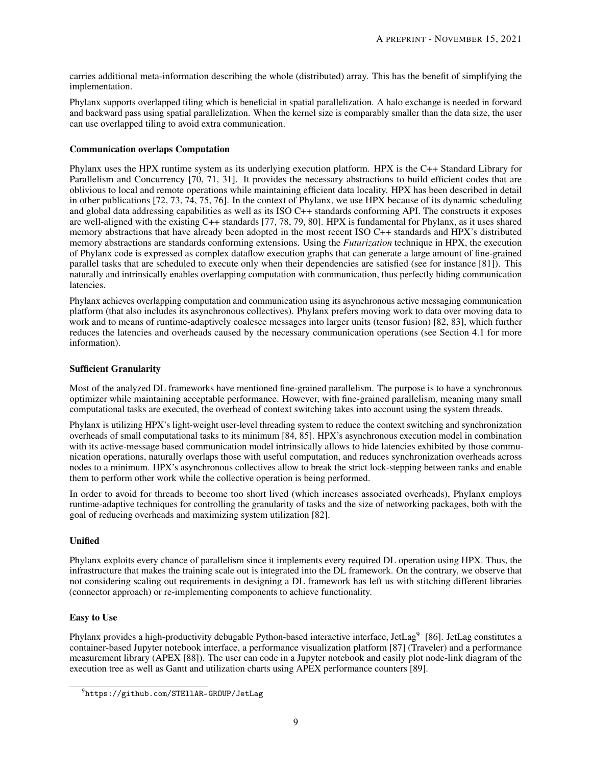carries additional meta-information describing the whole (distributed) array. This has the benefit of simplifying the implementation.

Phylanx supports overlapped tiling which is beneficial in spatial parallelization. A halo exchange is needed in forward and backward pass using spatial parallelization. When the kernel size is comparably smaller than the data size, the user can use overlapped tiling to avoid extra communication.

#### Communication overlaps Computation

Phylanx uses the HPX runtime system as its underlying execution platform. HPX is the C++ Standard Library for Parallelism and Concurrency [\[70,](#page-13-13) [71,](#page-13-14) [31\]](#page-11-14). It provides the necessary abstractions to build efficient codes that are oblivious to local and remote operations while maintaining efficient data locality. HPX has been described in detail in other publications [\[72,](#page-13-15) [73,](#page-13-16) [74,](#page-13-17) [75,](#page-13-18) [76\]](#page-14-0). In the context of Phylanx, we use HPX because of its dynamic scheduling and global data addressing capabilities as well as its ISO C++ standards conforming API. The constructs it exposes are well-aligned with the existing C++ standards [\[77,](#page-14-1) [78,](#page-14-2) [79,](#page-14-3) [80\]](#page-14-4). HPX is fundamental for Phylanx, as it uses shared memory abstractions that have already been adopted in the most recent ISO C++ standards and HPX's distributed memory abstractions are standards conforming extensions. Using the *Futurization* technique in HPX, the execution of Phylanx code is expressed as complex dataflow execution graphs that can generate a large amount of fine-grained parallel tasks that are scheduled to execute only when their dependencies are satisfied (see for instance [\[81\]](#page-14-5)). This naturally and intrinsically enables overlapping computation with communication, thus perfectly hiding communication latencies.

Phylanx achieves overlapping computation and communication using its asynchronous active messaging communication platform (that also includes its asynchronous collectives). Phylanx prefers moving work to data over moving data to work and to means of runtime-adaptively coalesce messages into larger units (tensor fusion) [\[82,](#page-14-6) [83\]](#page-14-7), which further reduces the latencies and overheads caused by the necessary communication operations (see Section [4.1](#page-8-0) for more information).

#### <span id="page-8-0"></span>Sufficient Granularity

Most of the analyzed DL frameworks have mentioned fine-grained parallelism. The purpose is to have a synchronous optimizer while maintaining acceptable performance. However, with fine-grained parallelism, meaning many small computational tasks are executed, the overhead of context switching takes into account using the system threads.

Phylanx is utilizing HPX's light-weight user-level threading system to reduce the context switching and synchronization overheads of small computational tasks to its minimum [\[84,](#page-14-8) [85\]](#page-14-9). HPX's asynchronous execution model in combination with its active-message based communication model intrinsically allows to hide latencies exhibited by those communication operations, naturally overlaps those with useful computation, and reduces synchronization overheads across nodes to a minimum. HPX's asynchronous collectives allow to break the strict lock-stepping between ranks and enable them to perform other work while the collective operation is being performed.

In order to avoid for threads to become too short lived (which increases associated overheads), Phylanx employs runtime-adaptive techniques for controlling the granularity of tasks and the size of networking packages, both with the goal of reducing overheads and maximizing system utilization [\[82\]](#page-14-6).

## Unified

Phylanx exploits every chance of parallelism since it implements every required DL operation using HPX. Thus, the infrastructure that makes the training scale out is integrated into the DL framework. On the contrary, we observe that not considering scaling out requirements in designing a DL framework has left us with stitching different libraries (connector approach) or re-implementing components to achieve functionality.

#### Easy to Use

Phylanx provides a high-productivity debugable Python-based interactive interface, JetLag<sup>[9](#page-8-1)</sup> [\[86\]](#page-14-10). JetLag constitutes a container-based Jupyter notebook interface, a performance visualization platform [\[87\]](#page-14-11) (Traveler) and a performance measurement library (APEX [\[88\]](#page-14-12)). The user can code in a Jupyter notebook and easily plot node-link diagram of the execution tree as well as Gantt and utilization charts using APEX performance counters [\[89\]](#page-14-13).

<span id="page-8-1"></span> $^{9}$ <https://github.com/STEllAR-GROUP/JetLag>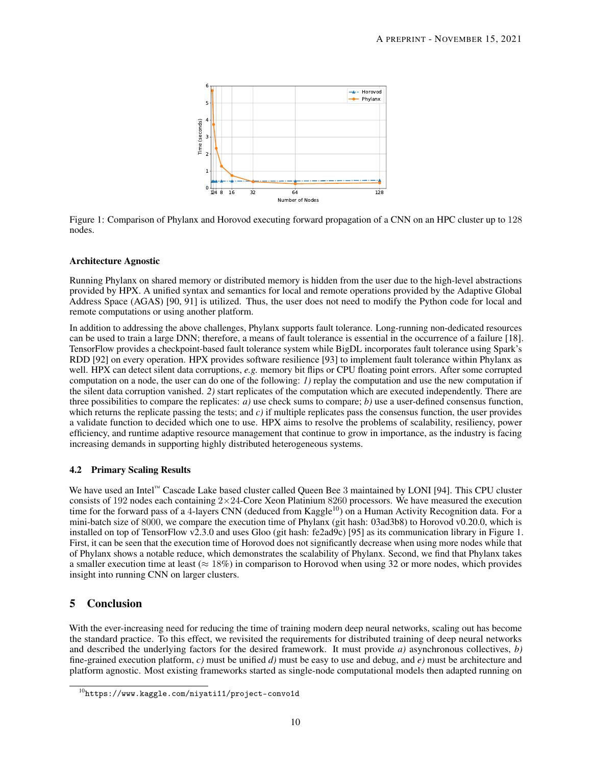

<span id="page-9-1"></span>Figure 1: Comparison of Phylanx and Horovod executing forward propagation of a CNN on an HPC cluster up to 128 nodes.

#### Architecture Agnostic

Running Phylanx on shared memory or distributed memory is hidden from the user due to the high-level abstractions provided by HPX. A unified syntax and semantics for local and remote operations provided by the Adaptive Global Address Space (AGAS) [\[90,](#page-14-14) [91\]](#page-14-15) is utilized. Thus, the user does not need to modify the Python code for local and remote computations or using another platform.

In addition to addressing the above challenges, Phylanx supports fault tolerance. Long-running non-dedicated resources can be used to train a large DNN; therefore, a means of fault tolerance is essential in the occurrence of a failure [\[18\]](#page-11-1). TensorFlow provides a checkpoint-based fault tolerance system while BigDL incorporates fault tolerance using Spark's RDD [\[92\]](#page-15-0) on every operation. HPX provides software resilience [\[93\]](#page-15-1) to implement fault tolerance within Phylanx as well. HPX can detect silent data corruptions, *e.g.* memory bit flips or CPU floating point errors. After some corrupted computation on a node, the user can do one of the following: *1)* replay the computation and use the new computation if the silent data corruption vanished. *2)* start replicates of the computation which are executed independently. There are three possibilities to compare the replicates: *a)* use check sums to compare; *b)* use a user-defined consensus function, which returns the replicate passing the tests; and *c*) if multiple replicates pass the consensus function, the user provides a validate function to decided which one to use. HPX aims to resolve the problems of scalability, resiliency, power efficiency, and runtime adaptive resource management that continue to grow in importance, as the industry is facing increasing demands in supporting highly distributed heterogeneous systems.

#### 4.2 Primary Scaling Results

We have used an Intel™ Cascade Lake based cluster called Queen Bee 3 maintained by LONI [\[94\]](#page-15-2). This CPU cluster consists of 192 nodes each containing  $2\times 24$ -Core Xeon Platinium 8260 processors. We have measured the execution time for the forward pass of a 4-layers CNN (deduced from Kaggle<sup>[10](#page-9-0)</sup>) on a Human Activity Recognition data. For a mini-batch size of 8000, we compare the execution time of Phylanx (git hash: 03ad3b8) to Horovod v0.20.0, which is installed on top of TensorFlow v2.3.0 and uses Gloo (git hash: fe2ad9c) [\[95\]](#page-15-3) as its communication library in Figure [1.](#page-9-1) First, it can be seen that the execution time of Horovod does not significantly decrease when using more nodes while that of Phylanx shows a notable reduce, which demonstrates the scalability of Phylanx. Second, we find that Phylanx takes a smaller execution time at least ( $\approx 18\%$ ) in comparison to Horovod when using 32 or more nodes, which provides insight into running CNN on larger clusters.

# 5 Conclusion

With the ever-increasing need for reducing the time of training modern deep neural networks, scaling out has become the standard practice. To this effect, we revisited the requirements for distributed training of deep neural networks and described the underlying factors for the desired framework. It must provide *a)* asynchronous collectives, *b)* fine-grained execution platform, *c)* must be unified *d)* must be easy to use and debug, and *e)* must be architecture and platform agnostic. Most existing frameworks started as single-node computational models then adapted running on

<span id="page-9-0"></span> $10$ <https://www.kaggle.com/niyati11/project-convo1d>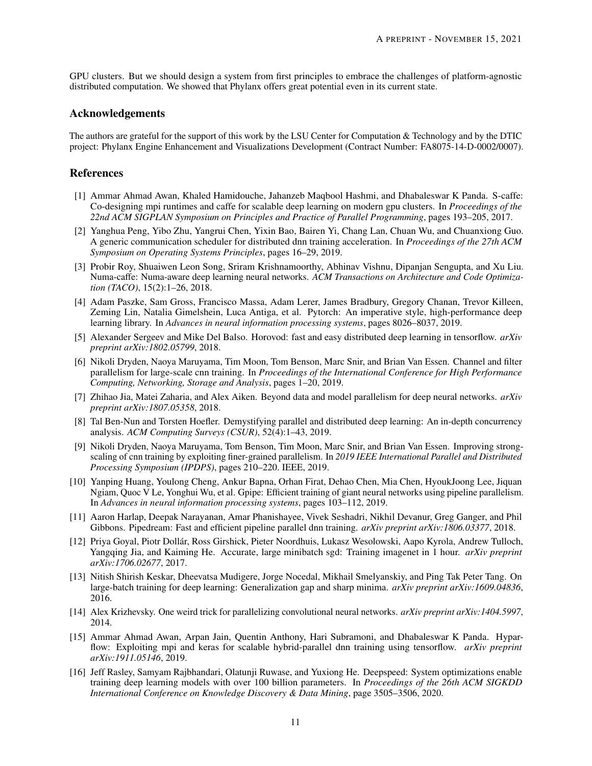GPU clusters. But we should design a system from first principles to embrace the challenges of platform-agnostic distributed computation. We showed that Phylanx offers great potential even in its current state.

## Acknowledgements

The authors are grateful for the support of this work by the LSU Center for Computation & Technology and by the DTIC project: Phylanx Engine Enhancement and Visualizations Development (Contract Number: FA8075-14-D-0002/0007).

#### References

- <span id="page-10-0"></span>[1] Ammar Ahmad Awan, Khaled Hamidouche, Jahanzeb Maqbool Hashmi, and Dhabaleswar K Panda. S-caffe: Co-designing mpi runtimes and caffe for scalable deep learning on modern gpu clusters. In *Proceedings of the 22nd ACM SIGPLAN Symposium on Principles and Practice of Parallel Programming*, pages 193–205, 2017.
- <span id="page-10-1"></span>[2] Yanghua Peng, Yibo Zhu, Yangrui Chen, Yixin Bao, Bairen Yi, Chang Lan, Chuan Wu, and Chuanxiong Guo. A generic communication scheduler for distributed dnn training acceleration. In *Proceedings of the 27th ACM Symposium on Operating Systems Principles*, pages 16–29, 2019.
- <span id="page-10-2"></span>[3] Probir Roy, Shuaiwen Leon Song, Sriram Krishnamoorthy, Abhinav Vishnu, Dipanjan Sengupta, and Xu Liu. Numa-caffe: Numa-aware deep learning neural networks. *ACM Transactions on Architecture and Code Optimization (TACO)*, 15(2):1–26, 2018.
- <span id="page-10-3"></span>[4] Adam Paszke, Sam Gross, Francisco Massa, Adam Lerer, James Bradbury, Gregory Chanan, Trevor Killeen, Zeming Lin, Natalia Gimelshein, Luca Antiga, et al. Pytorch: An imperative style, high-performance deep learning library. In *Advances in neural information processing systems*, pages 8026–8037, 2019.
- <span id="page-10-4"></span>[5] Alexander Sergeev and Mike Del Balso. Horovod: fast and easy distributed deep learning in tensorflow. *arXiv preprint arXiv:1802.05799*, 2018.
- <span id="page-10-5"></span>[6] Nikoli Dryden, Naoya Maruyama, Tim Moon, Tom Benson, Marc Snir, and Brian Van Essen. Channel and filter parallelism for large-scale cnn training. In *Proceedings of the International Conference for High Performance Computing, Networking, Storage and Analysis*, pages 1–20, 2019.
- <span id="page-10-6"></span>[7] Zhihao Jia, Matei Zaharia, and Alex Aiken. Beyond data and model parallelism for deep neural networks. *arXiv preprint arXiv:1807.05358*, 2018.
- <span id="page-10-7"></span>[8] Tal Ben-Nun and Torsten Hoefler. Demystifying parallel and distributed deep learning: An in-depth concurrency analysis. *ACM Computing Surveys (CSUR)*, 52(4):1–43, 2019.
- <span id="page-10-8"></span>[9] Nikoli Dryden, Naoya Maruyama, Tom Benson, Tim Moon, Marc Snir, and Brian Van Essen. Improving strongscaling of cnn training by exploiting finer-grained parallelism. In *2019 IEEE International Parallel and Distributed Processing Symposium (IPDPS)*, pages 210–220. IEEE, 2019.
- <span id="page-10-9"></span>[10] Yanping Huang, Youlong Cheng, Ankur Bapna, Orhan Firat, Dehao Chen, Mia Chen, HyoukJoong Lee, Jiquan Ngiam, Quoc V Le, Yonghui Wu, et al. Gpipe: Efficient training of giant neural networks using pipeline parallelism. In *Advances in neural information processing systems*, pages 103–112, 2019.
- <span id="page-10-10"></span>[11] Aaron Harlap, Deepak Narayanan, Amar Phanishayee, Vivek Seshadri, Nikhil Devanur, Greg Ganger, and Phil Gibbons. Pipedream: Fast and efficient pipeline parallel dnn training. *arXiv preprint arXiv:1806.03377*, 2018.
- <span id="page-10-11"></span>[12] Priya Goyal, Piotr Dollár, Ross Girshick, Pieter Noordhuis, Lukasz Wesolowski, Aapo Kyrola, Andrew Tulloch, Yangqing Jia, and Kaiming He. Accurate, large minibatch sgd: Training imagenet in 1 hour. *arXiv preprint arXiv:1706.02677*, 2017.
- <span id="page-10-12"></span>[13] Nitish Shirish Keskar, Dheevatsa Mudigere, Jorge Nocedal, Mikhail Smelyanskiy, and Ping Tak Peter Tang. On large-batch training for deep learning: Generalization gap and sharp minima. *arXiv preprint arXiv:1609.04836*, 2016.
- <span id="page-10-13"></span>[14] Alex Krizhevsky. One weird trick for parallelizing convolutional neural networks. *arXiv preprint arXiv:1404.5997*, 2014.
- <span id="page-10-14"></span>[15] Ammar Ahmad Awan, Arpan Jain, Quentin Anthony, Hari Subramoni, and Dhabaleswar K Panda. Hyparflow: Exploiting mpi and keras for scalable hybrid-parallel dnn training using tensorflow. *arXiv preprint arXiv:1911.05146*, 2019.
- <span id="page-10-15"></span>[16] Jeff Rasley, Samyam Rajbhandari, Olatunji Ruwase, and Yuxiong He. Deepspeed: System optimizations enable training deep learning models with over 100 billion parameters. In *Proceedings of the 26th ACM SIGKDD International Conference on Knowledge Discovery & Data Mining*, page 3505–3506, 2020.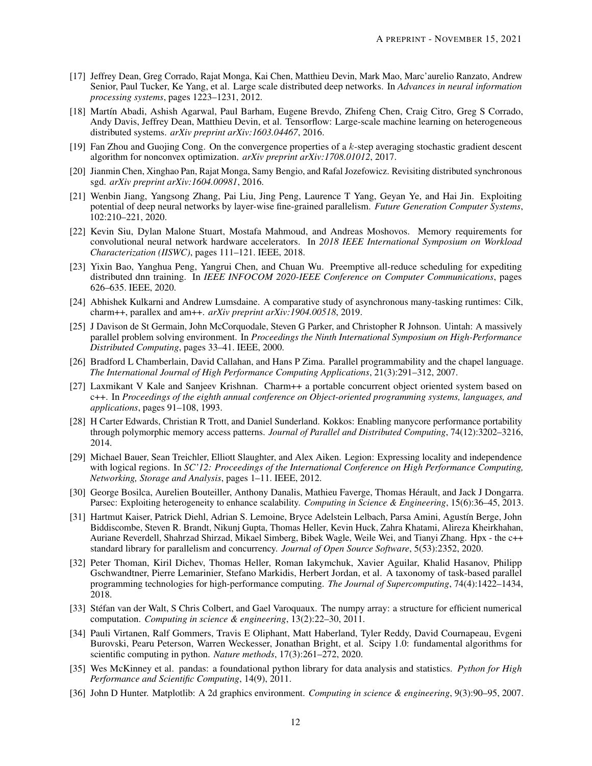- <span id="page-11-0"></span>[17] Jeffrey Dean, Greg Corrado, Rajat Monga, Kai Chen, Matthieu Devin, Mark Mao, Marc'aurelio Ranzato, Andrew Senior, Paul Tucker, Ke Yang, et al. Large scale distributed deep networks. In *Advances in neural information processing systems*, pages 1223–1231, 2012.
- <span id="page-11-1"></span>[18] Martín Abadi, Ashish Agarwal, Paul Barham, Eugene Brevdo, Zhifeng Chen, Craig Citro, Greg S Corrado, Andy Davis, Jeffrey Dean, Matthieu Devin, et al. Tensorflow: Large-scale machine learning on heterogeneous distributed systems. *arXiv preprint arXiv:1603.04467*, 2016.
- <span id="page-11-2"></span>[19] Fan Zhou and Guojing Cong. On the convergence properties of a k-step averaging stochastic gradient descent algorithm for nonconvex optimization. *arXiv preprint arXiv:1708.01012*, 2017.
- <span id="page-11-3"></span>[20] Jianmin Chen, Xinghao Pan, Rajat Monga, Samy Bengio, and Rafal Jozefowicz. Revisiting distributed synchronous sgd. *arXiv preprint arXiv:1604.00981*, 2016.
- <span id="page-11-4"></span>[21] Wenbin Jiang, Yangsong Zhang, Pai Liu, Jing Peng, Laurence T Yang, Geyan Ye, and Hai Jin. Exploiting potential of deep neural networks by layer-wise fine-grained parallelism. *Future Generation Computer Systems*, 102:210–221, 2020.
- <span id="page-11-5"></span>[22] Kevin Siu, Dylan Malone Stuart, Mostafa Mahmoud, and Andreas Moshovos. Memory requirements for convolutional neural network hardware accelerators. In *2018 IEEE International Symposium on Workload Characterization (IISWC)*, pages 111–121. IEEE, 2018.
- <span id="page-11-6"></span>[23] Yixin Bao, Yanghua Peng, Yangrui Chen, and Chuan Wu. Preemptive all-reduce scheduling for expediting distributed dnn training. In *IEEE INFOCOM 2020-IEEE Conference on Computer Communications*, pages 626–635. IEEE, 2020.
- <span id="page-11-7"></span>[24] Abhishek Kulkarni and Andrew Lumsdaine. A comparative study of asynchronous many-tasking runtimes: Cilk, charm++, parallex and am++. *arXiv preprint arXiv:1904.00518*, 2019.
- <span id="page-11-8"></span>[25] J Davison de St Germain, John McCorquodale, Steven G Parker, and Christopher R Johnson. Uintah: A massively parallel problem solving environment. In *Proceedings the Ninth International Symposium on High-Performance Distributed Computing*, pages 33–41. IEEE, 2000.
- <span id="page-11-9"></span>[26] Bradford L Chamberlain, David Callahan, and Hans P Zima. Parallel programmability and the chapel language. *The International Journal of High Performance Computing Applications*, 21(3):291–312, 2007.
- <span id="page-11-10"></span>[27] Laxmikant V Kale and Sanjeev Krishnan. Charm++ a portable concurrent object oriented system based on c++. In *Proceedings of the eighth annual conference on Object-oriented programming systems, languages, and applications*, pages 91–108, 1993.
- <span id="page-11-11"></span>[28] H Carter Edwards, Christian R Trott, and Daniel Sunderland. Kokkos: Enabling manycore performance portability through polymorphic memory access patterns. *Journal of Parallel and Distributed Computing*, 74(12):3202–3216, 2014.
- <span id="page-11-12"></span>[29] Michael Bauer, Sean Treichler, Elliott Slaughter, and Alex Aiken. Legion: Expressing locality and independence with logical regions. In *SC'12: Proceedings of the International Conference on High Performance Computing, Networking, Storage and Analysis*, pages 1–11. IEEE, 2012.
- <span id="page-11-13"></span>[30] George Bosilca, Aurelien Bouteiller, Anthony Danalis, Mathieu Faverge, Thomas Hérault, and Jack J Dongarra. Parsec: Exploiting heterogeneity to enhance scalability. *Computing in Science & Engineering*, 15(6):36–45, 2013.
- <span id="page-11-14"></span>[31] Hartmut Kaiser, Patrick Diehl, Adrian S. Lemoine, Bryce Adelstein Lelbach, Parsa Amini, Agustín Berge, John Biddiscombe, Steven R. Brandt, Nikunj Gupta, Thomas Heller, Kevin Huck, Zahra Khatami, Alireza Kheirkhahan, Auriane Reverdell, Shahrzad Shirzad, Mikael Simberg, Bibek Wagle, Weile Wei, and Tianyi Zhang. Hpx - the c++ standard library for parallelism and concurrency. *Journal of Open Source Software*, 5(53):2352, 2020.
- <span id="page-11-15"></span>[32] Peter Thoman, Kiril Dichev, Thomas Heller, Roman Iakymchuk, Xavier Aguilar, Khalid Hasanov, Philipp Gschwandtner, Pierre Lemarinier, Stefano Markidis, Herbert Jordan, et al. A taxonomy of task-based parallel programming technologies for high-performance computing. *The Journal of Supercomputing*, 74(4):1422–1434, 2018.
- <span id="page-11-16"></span>[33] Stéfan van der Walt, S Chris Colbert, and Gael Varoquaux. The numpy array: a structure for efficient numerical computation. *Computing in science & engineering*, 13(2):22–30, 2011.
- <span id="page-11-17"></span>[34] Pauli Virtanen, Ralf Gommers, Travis E Oliphant, Matt Haberland, Tyler Reddy, David Cournapeau, Evgeni Burovski, Pearu Peterson, Warren Weckesser, Jonathan Bright, et al. Scipy 1.0: fundamental algorithms for scientific computing in python. *Nature methods*, 17(3):261–272, 2020.
- <span id="page-11-18"></span>[35] Wes McKinney et al. pandas: a foundational python library for data analysis and statistics. *Python for High Performance and Scientific Computing*, 14(9), 2011.
- <span id="page-11-19"></span>[36] John D Hunter. Matplotlib: A 2d graphics environment. *Computing in science & engineering*, 9(3):90–95, 2007.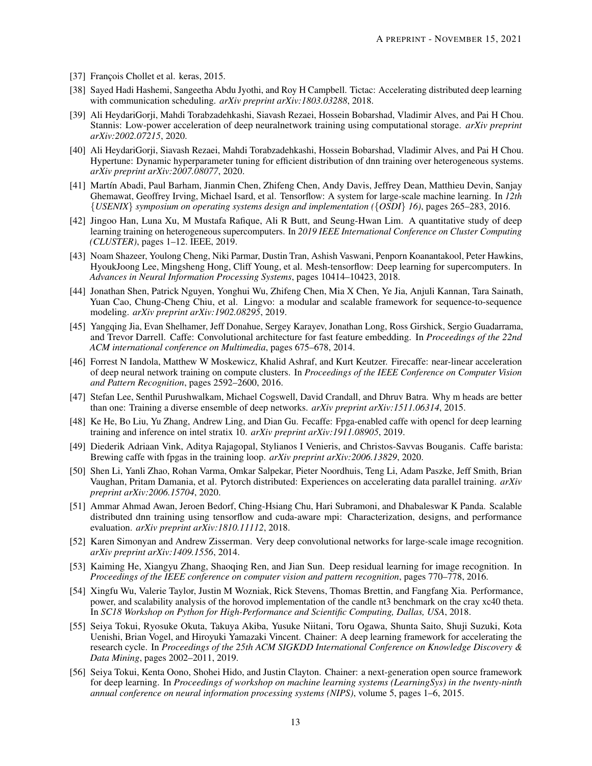- <span id="page-12-0"></span>[37] François Chollet et al. keras, 2015.
- <span id="page-12-1"></span>[38] Sayed Hadi Hashemi, Sangeetha Abdu Jyothi, and Roy H Campbell. Tictac: Accelerating distributed deep learning with communication scheduling. *arXiv preprint arXiv:1803.03288*, 2018.
- <span id="page-12-2"></span>[39] Ali HeydariGorji, Mahdi Torabzadehkashi, Siavash Rezaei, Hossein Bobarshad, Vladimir Alves, and Pai H Chou. Stannis: Low-power acceleration of deep neuralnetwork training using computational storage. *arXiv preprint arXiv:2002.07215*, 2020.
- <span id="page-12-3"></span>[40] Ali HeydariGorji, Siavash Rezaei, Mahdi Torabzadehkashi, Hossein Bobarshad, Vladimir Alves, and Pai H Chou. Hypertune: Dynamic hyperparameter tuning for efficient distribution of dnn training over heterogeneous systems. *arXiv preprint arXiv:2007.08077*, 2020.
- <span id="page-12-4"></span>[41] Martín Abadi, Paul Barham, Jianmin Chen, Zhifeng Chen, Andy Davis, Jeffrey Dean, Matthieu Devin, Sanjay Ghemawat, Geoffrey Irving, Michael Isard, et al. Tensorflow: A system for large-scale machine learning. In *12th* {*USENIX*} *symposium on operating systems design and implementation (*{*OSDI*} *16)*, pages 265–283, 2016.
- <span id="page-12-5"></span>[42] Jingoo Han, Luna Xu, M Mustafa Rafique, Ali R Butt, and Seung-Hwan Lim. A quantitative study of deep learning training on heterogeneous supercomputers. In *2019 IEEE International Conference on Cluster Computing (CLUSTER)*, pages 1–12. IEEE, 2019.
- <span id="page-12-6"></span>[43] Noam Shazeer, Youlong Cheng, Niki Parmar, Dustin Tran, Ashish Vaswani, Penporn Koanantakool, Peter Hawkins, HyoukJoong Lee, Mingsheng Hong, Cliff Young, et al. Mesh-tensorflow: Deep learning for supercomputers. In *Advances in Neural Information Processing Systems*, pages 10414–10423, 2018.
- <span id="page-12-7"></span>[44] Jonathan Shen, Patrick Nguyen, Yonghui Wu, Zhifeng Chen, Mia X Chen, Ye Jia, Anjuli Kannan, Tara Sainath, Yuan Cao, Chung-Cheng Chiu, et al. Lingvo: a modular and scalable framework for sequence-to-sequence modeling. *arXiv preprint arXiv:1902.08295*, 2019.
- <span id="page-12-8"></span>[45] Yangqing Jia, Evan Shelhamer, Jeff Donahue, Sergey Karayev, Jonathan Long, Ross Girshick, Sergio Guadarrama, and Trevor Darrell. Caffe: Convolutional architecture for fast feature embedding. In *Proceedings of the 22nd ACM international conference on Multimedia*, pages 675–678, 2014.
- <span id="page-12-9"></span>[46] Forrest N Iandola, Matthew W Moskewicz, Khalid Ashraf, and Kurt Keutzer. Firecaffe: near-linear acceleration of deep neural network training on compute clusters. In *Proceedings of the IEEE Conference on Computer Vision and Pattern Recognition*, pages 2592–2600, 2016.
- <span id="page-12-10"></span>[47] Stefan Lee, Senthil Purushwalkam, Michael Cogswell, David Crandall, and Dhruv Batra. Why m heads are better than one: Training a diverse ensemble of deep networks. *arXiv preprint arXiv:1511.06314*, 2015.
- <span id="page-12-11"></span>[48] Ke He, Bo Liu, Yu Zhang, Andrew Ling, and Dian Gu. Fecaffe: Fpga-enabled caffe with opencl for deep learning training and inference on intel stratix 10. *arXiv preprint arXiv:1911.08905*, 2019.
- <span id="page-12-12"></span>[49] Diederik Adriaan Vink, Aditya Rajagopal, Stylianos I Venieris, and Christos-Savvas Bouganis. Caffe barista: Brewing caffe with fpgas in the training loop. *arXiv preprint arXiv:2006.13829*, 2020.
- <span id="page-12-13"></span>[50] Shen Li, Yanli Zhao, Rohan Varma, Omkar Salpekar, Pieter Noordhuis, Teng Li, Adam Paszke, Jeff Smith, Brian Vaughan, Pritam Damania, et al. Pytorch distributed: Experiences on accelerating data parallel training. *arXiv preprint arXiv:2006.15704*, 2020.
- <span id="page-12-14"></span>[51] Ammar Ahmad Awan, Jeroen Bedorf, Ching-Hsiang Chu, Hari Subramoni, and Dhabaleswar K Panda. Scalable distributed dnn training using tensorflow and cuda-aware mpi: Characterization, designs, and performance evaluation. *arXiv preprint arXiv:1810.11112*, 2018.
- <span id="page-12-15"></span>[52] Karen Simonyan and Andrew Zisserman. Very deep convolutional networks for large-scale image recognition. *arXiv preprint arXiv:1409.1556*, 2014.
- <span id="page-12-16"></span>[53] Kaiming He, Xiangyu Zhang, Shaoqing Ren, and Jian Sun. Deep residual learning for image recognition. In *Proceedings of the IEEE conference on computer vision and pattern recognition*, pages 770–778, 2016.
- <span id="page-12-17"></span>[54] Xingfu Wu, Valerie Taylor, Justin M Wozniak, Rick Stevens, Thomas Brettin, and Fangfang Xia. Performance, power, and scalability analysis of the horovod implementation of the candle nt3 benchmark on the cray xc40 theta. In *SC18 Workshop on Python for High-Performance and Scientific Computing, Dallas, USA*, 2018.
- <span id="page-12-18"></span>[55] Seiya Tokui, Ryosuke Okuta, Takuya Akiba, Yusuke Niitani, Toru Ogawa, Shunta Saito, Shuji Suzuki, Kota Uenishi, Brian Vogel, and Hiroyuki Yamazaki Vincent. Chainer: A deep learning framework for accelerating the research cycle. In *Proceedings of the 25th ACM SIGKDD International Conference on Knowledge Discovery & Data Mining*, pages 2002–2011, 2019.
- <span id="page-12-19"></span>[56] Seiya Tokui, Kenta Oono, Shohei Hido, and Justin Clayton. Chainer: a next-generation open source framework for deep learning. In *Proceedings of workshop on machine learning systems (LearningSys) in the twenty-ninth annual conference on neural information processing systems (NIPS)*, volume 5, pages 1–6, 2015.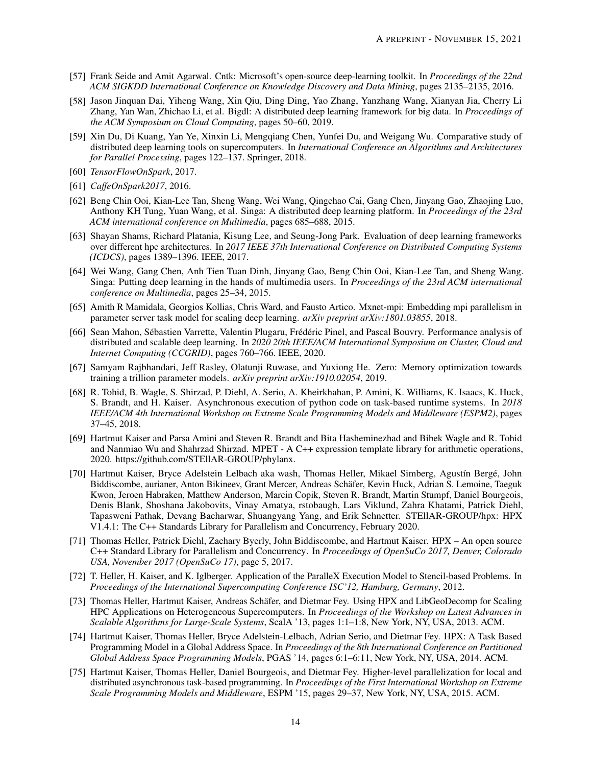- <span id="page-13-0"></span>[57] Frank Seide and Amit Agarwal. Cntk: Microsoft's open-source deep-learning toolkit. In *Proceedings of the 22nd ACM SIGKDD International Conference on Knowledge Discovery and Data Mining*, pages 2135–2135, 2016.
- <span id="page-13-1"></span>[58] Jason Jinquan Dai, Yiheng Wang, Xin Qiu, Ding Ding, Yao Zhang, Yanzhang Wang, Xianyan Jia, Cherry Li Zhang, Yan Wan, Zhichao Li, et al. Bigdl: A distributed deep learning framework for big data. In *Proceedings of the ACM Symposium on Cloud Computing*, pages 50–60, 2019.
- <span id="page-13-2"></span>[59] Xin Du, Di Kuang, Yan Ye, Xinxin Li, Mengqiang Chen, Yunfei Du, and Weigang Wu. Comparative study of distributed deep learning tools on supercomputers. In *International Conference on Algorithms and Architectures for Parallel Processing*, pages 122–137. Springer, 2018.
- <span id="page-13-3"></span>[60] *TensorFlowOnSpark*, 2017.
- <span id="page-13-4"></span>[61] *CaffeOnSpark2017*, 2016.
- <span id="page-13-5"></span>[62] Beng Chin Ooi, Kian-Lee Tan, Sheng Wang, Wei Wang, Qingchao Cai, Gang Chen, Jinyang Gao, Zhaojing Luo, Anthony KH Tung, Yuan Wang, et al. Singa: A distributed deep learning platform. In *Proceedings of the 23rd ACM international conference on Multimedia*, pages 685–688, 2015.
- <span id="page-13-6"></span>[63] Shayan Shams, Richard Platania, Kisung Lee, and Seung-Jong Park. Evaluation of deep learning frameworks over different hpc architectures. In *2017 IEEE 37th International Conference on Distributed Computing Systems (ICDCS)*, pages 1389–1396. IEEE, 2017.
- <span id="page-13-7"></span>[64] Wei Wang, Gang Chen, Anh Tien Tuan Dinh, Jinyang Gao, Beng Chin Ooi, Kian-Lee Tan, and Sheng Wang. Singa: Putting deep learning in the hands of multimedia users. In *Proceedings of the 23rd ACM international conference on Multimedia*, pages 25–34, 2015.
- <span id="page-13-8"></span>[65] Amith R Mamidala, Georgios Kollias, Chris Ward, and Fausto Artico. Mxnet-mpi: Embedding mpi parallelism in parameter server task model for scaling deep learning. *arXiv preprint arXiv:1801.03855*, 2018.
- <span id="page-13-9"></span>[66] Sean Mahon, Sébastien Varrette, Valentin Plugaru, Frédéric Pinel, and Pascal Bouvry. Performance analysis of distributed and scalable deep learning. In *2020 20th IEEE/ACM International Symposium on Cluster, Cloud and Internet Computing (CCGRID)*, pages 760–766. IEEE, 2020.
- <span id="page-13-10"></span>[67] Samyam Rajbhandari, Jeff Rasley, Olatunji Ruwase, and Yuxiong He. Zero: Memory optimization towards training a trillion parameter models. *arXiv preprint arXiv:1910.02054*, 2019.
- <span id="page-13-11"></span>[68] R. Tohid, B. Wagle, S. Shirzad, P. Diehl, A. Serio, A. Kheirkhahan, P. Amini, K. Williams, K. Isaacs, K. Huck, S. Brandt, and H. Kaiser. Asynchronous execution of python code on task-based runtime systems. In *2018 IEEE/ACM 4th International Workshop on Extreme Scale Programming Models and Middleware (ESPM2)*, pages 37–45, 2018.
- <span id="page-13-12"></span>[69] Hartmut Kaiser and Parsa Amini and Steven R. Brandt and Bita Hasheminezhad and Bibek Wagle and R. Tohid and Nanmiao Wu and Shahrzad Shirzad. MPET - A C++ expression template library for arithmetic operations, 2020. https://github.com/STEllAR-GROUP/phylanx.
- <span id="page-13-13"></span>[70] Hartmut Kaiser, Bryce Adelstein Lelbach aka wash, Thomas Heller, Mikael Simberg, Agustín Bergé, John Biddiscombe, aurianer, Anton Bikineev, Grant Mercer, Andreas Schäfer, Kevin Huck, Adrian S. Lemoine, Taeguk Kwon, Jeroen Habraken, Matthew Anderson, Marcin Copik, Steven R. Brandt, Martin Stumpf, Daniel Bourgeois, Denis Blank, Shoshana Jakobovits, Vinay Amatya, rstobaugh, Lars Viklund, Zahra Khatami, Patrick Diehl, Tapasweni Pathak, Devang Bacharwar, Shuangyang Yang, and Erik Schnetter. STEllAR-GROUP/hpx: HPX V1.4.1: The C++ Standards Library for Parallelism and Concurrency, February 2020.
- <span id="page-13-14"></span>[71] Thomas Heller, Patrick Diehl, Zachary Byerly, John Biddiscombe, and Hartmut Kaiser. HPX – An open source C++ Standard Library for Parallelism and Concurrency. In *Proceedings of OpenSuCo 2017, Denver, Colorado USA, November 2017 (OpenSuCo 17)*, page 5, 2017.
- <span id="page-13-15"></span>[72] T. Heller, H. Kaiser, and K. Iglberger. Application of the ParalleX Execution Model to Stencil-based Problems. In *Proceedings of the International Supercomputing Conference ISC'12, Hamburg, Germany*, 2012.
- <span id="page-13-16"></span>[73] Thomas Heller, Hartmut Kaiser, Andreas Schäfer, and Dietmar Fey. Using HPX and LibGeoDecomp for Scaling HPC Applications on Heterogeneous Supercomputers. In *Proceedings of the Workshop on Latest Advances in Scalable Algorithms for Large-Scale Systems*, ScalA '13, pages 1:1–1:8, New York, NY, USA, 2013. ACM.
- <span id="page-13-17"></span>[74] Hartmut Kaiser, Thomas Heller, Bryce Adelstein-Lelbach, Adrian Serio, and Dietmar Fey. HPX: A Task Based Programming Model in a Global Address Space. In *Proceedings of the 8th International Conference on Partitioned Global Address Space Programming Models*, PGAS '14, pages 6:1–6:11, New York, NY, USA, 2014. ACM.
- <span id="page-13-18"></span>[75] Hartmut Kaiser, Thomas Heller, Daniel Bourgeois, and Dietmar Fey. Higher-level parallelization for local and distributed asynchronous task-based programming. In *Proceedings of the First International Workshop on Extreme Scale Programming Models and Middleware*, ESPM '15, pages 29–37, New York, NY, USA, 2015. ACM.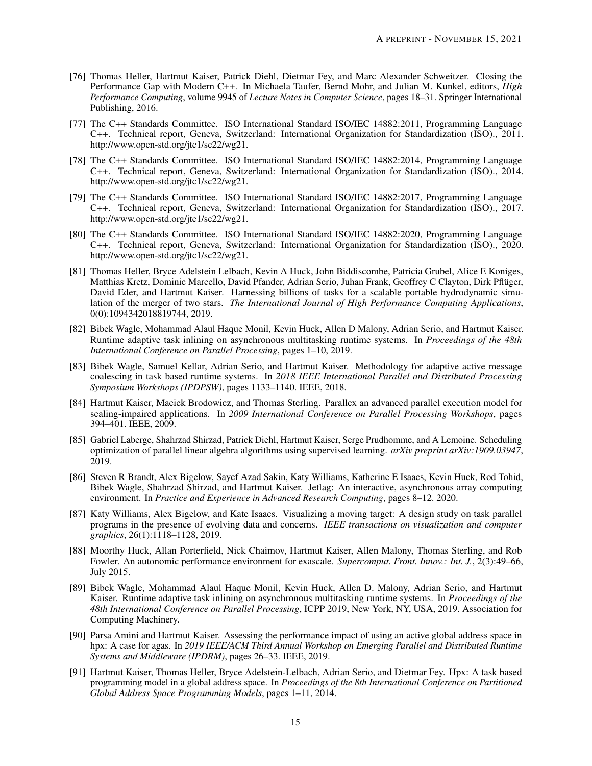- <span id="page-14-0"></span>[76] Thomas Heller, Hartmut Kaiser, Patrick Diehl, Dietmar Fey, and Marc Alexander Schweitzer. Closing the Performance Gap with Modern C++. In Michaela Taufer, Bernd Mohr, and Julian M. Kunkel, editors, *High Performance Computing*, volume 9945 of *Lecture Notes in Computer Science*, pages 18–31. Springer International Publishing, 2016.
- <span id="page-14-1"></span>[77] The C++ Standards Committee. ISO International Standard ISO/IEC 14882:2011, Programming Language C++. Technical report, Geneva, Switzerland: International Organization for Standardization (ISO)., 2011. http://www.open-std.org/jtc1/sc22/wg21.
- <span id="page-14-2"></span>[78] The C++ Standards Committee. ISO International Standard ISO/IEC 14882:2014, Programming Language C++. Technical report, Geneva, Switzerland: International Organization for Standardization (ISO)., 2014. http://www.open-std.org/jtc1/sc22/wg21.
- <span id="page-14-3"></span>[79] The C++ Standards Committee. ISO International Standard ISO/IEC 14882:2017, Programming Language C++. Technical report, Geneva, Switzerland: International Organization for Standardization (ISO)., 2017. http://www.open-std.org/jtc1/sc22/wg21.
- <span id="page-14-4"></span>[80] The C++ Standards Committee. ISO International Standard ISO/IEC 14882:2020, Programming Language C++. Technical report, Geneva, Switzerland: International Organization for Standardization (ISO)., 2020. http://www.open-std.org/jtc1/sc22/wg21.
- <span id="page-14-5"></span>[81] Thomas Heller, Bryce Adelstein Lelbach, Kevin A Huck, John Biddiscombe, Patricia Grubel, Alice E Koniges, Matthias Kretz, Dominic Marcello, David Pfander, Adrian Serio, Juhan Frank, Geoffrey C Clayton, Dirk Pflüger, David Eder, and Hartmut Kaiser. Harnessing billions of tasks for a scalable portable hydrodynamic simulation of the merger of two stars. *The International Journal of High Performance Computing Applications*, 0(0):1094342018819744, 2019.
- <span id="page-14-6"></span>[82] Bibek Wagle, Mohammad Alaul Haque Monil, Kevin Huck, Allen D Malony, Adrian Serio, and Hartmut Kaiser. Runtime adaptive task inlining on asynchronous multitasking runtime systems. In *Proceedings of the 48th International Conference on Parallel Processing*, pages 1–10, 2019.
- <span id="page-14-7"></span>[83] Bibek Wagle, Samuel Kellar, Adrian Serio, and Hartmut Kaiser. Methodology for adaptive active message coalescing in task based runtime systems. In *2018 IEEE International Parallel and Distributed Processing Symposium Workshops (IPDPSW)*, pages 1133–1140. IEEE, 2018.
- <span id="page-14-8"></span>[84] Hartmut Kaiser, Maciek Brodowicz, and Thomas Sterling. Parallex an advanced parallel execution model for scaling-impaired applications. In *2009 International Conference on Parallel Processing Workshops*, pages 394–401. IEEE, 2009.
- <span id="page-14-9"></span>[85] Gabriel Laberge, Shahrzad Shirzad, Patrick Diehl, Hartmut Kaiser, Serge Prudhomme, and A Lemoine. Scheduling optimization of parallel linear algebra algorithms using supervised learning. *arXiv preprint arXiv:1909.03947*, 2019.
- <span id="page-14-10"></span>[86] Steven R Brandt, Alex Bigelow, Sayef Azad Sakin, Katy Williams, Katherine E Isaacs, Kevin Huck, Rod Tohid, Bibek Wagle, Shahrzad Shirzad, and Hartmut Kaiser. Jetlag: An interactive, asynchronous array computing environment. In *Practice and Experience in Advanced Research Computing*, pages 8–12. 2020.
- <span id="page-14-11"></span>[87] Katy Williams, Alex Bigelow, and Kate Isaacs. Visualizing a moving target: A design study on task parallel programs in the presence of evolving data and concerns. *IEEE transactions on visualization and computer graphics*, 26(1):1118–1128, 2019.
- <span id="page-14-12"></span>[88] Moorthy Huck, Allan Porterfield, Nick Chaimov, Hartmut Kaiser, Allen Malony, Thomas Sterling, and Rob Fowler. An autonomic performance environment for exascale. *Supercomput. Front. Innov.: Int. J.*, 2(3):49–66, July 2015.
- <span id="page-14-13"></span>[89] Bibek Wagle, Mohammad Alaul Haque Monil, Kevin Huck, Allen D. Malony, Adrian Serio, and Hartmut Kaiser. Runtime adaptive task inlining on asynchronous multitasking runtime systems. In *Proceedings of the 48th International Conference on Parallel Processing*, ICPP 2019, New York, NY, USA, 2019. Association for Computing Machinery.
- <span id="page-14-14"></span>[90] Parsa Amini and Hartmut Kaiser. Assessing the performance impact of using an active global address space in hpx: A case for agas. In *2019 IEEE/ACM Third Annual Workshop on Emerging Parallel and Distributed Runtime Systems and Middleware (IPDRM)*, pages 26–33. IEEE, 2019.
- <span id="page-14-15"></span>[91] Hartmut Kaiser, Thomas Heller, Bryce Adelstein-Lelbach, Adrian Serio, and Dietmar Fey. Hpx: A task based programming model in a global address space. In *Proceedings of the 8th International Conference on Partitioned Global Address Space Programming Models*, pages 1–11, 2014.